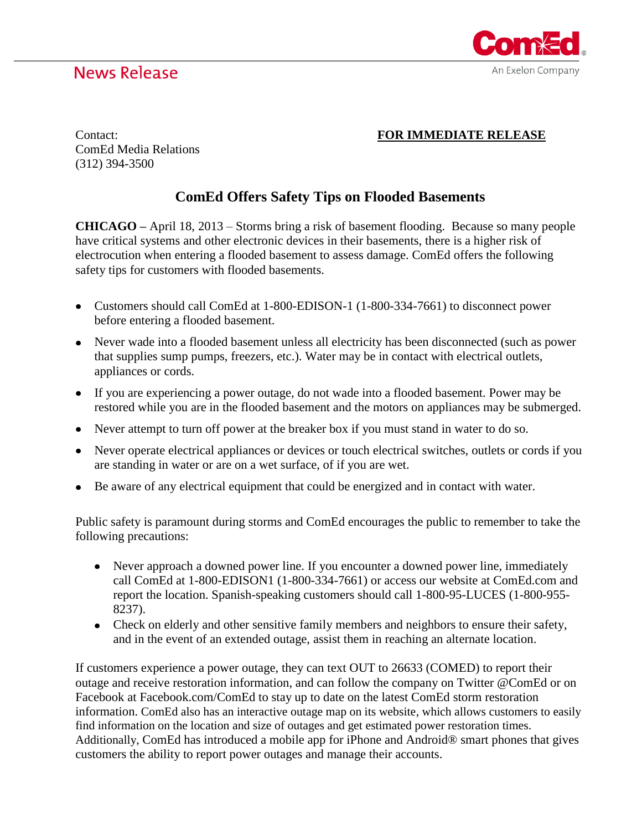## **News Release**



## Contact: **FOR IMMEDIATE RELEASE**

ComEd Media Relations (312) 394-3500

## **ComEd Offers Safety Tips on Flooded Basements**

**CHICAGO –** April 18, 2013 – Storms bring a risk of basement flooding. Because so many people have critical systems and other electronic devices in their basements, there is a higher risk of electrocution when entering a flooded basement to assess damage. ComEd offers the following safety tips for customers with flooded basements.

- Customers should call ComEd at 1-800-EDISON-1 (1-800-334-7661) to disconnect power before entering a flooded basement.
- Never wade into a flooded basement unless all electricity has been disconnected (such as power that supplies sump pumps, freezers, etc.). Water may be in contact with electrical outlets, appliances or cords.
- If you are experiencing a power outage, do not wade into a flooded basement. Power may be restored while you are in the flooded basement and the motors on appliances may be submerged.
- Never attempt to turn off power at the breaker box if you must stand in water to do so.
- Never operate electrical appliances or devices or touch electrical switches, outlets or cords if you are standing in water or are on a wet surface, of if you are wet.
- Be aware of any electrical equipment that could be energized and in contact with water.

Public safety is paramount during storms and ComEd encourages the public to remember to take the following precautions:

- Never approach a downed power line. If you encounter a downed power line, immediately call ComEd at 1-800-EDISON1 (1-800-334-7661) or access our website at ComEd.com and report the location. Spanish-speaking customers should call 1-800-95-LUCES (1-800-955- 8237).
- Check on elderly and other sensitive family members and neighbors to ensure their safety, and in the event of an extended outage, assist them in reaching an alternate location.

If customers experience a power outage, they can text OUT to 26633 (COMED) to report their outage and receive restoration information, and can follow the company on Twitter @ComEd or on Facebook at Facebook.com/ComEd to stay up to date on the latest ComEd storm restoration information. ComEd also has an interactive outage map on its website, which allows customers to easily find information on the location and size of outages and get estimated power restoration times. Additionally, ComEd has introduced a mobile app for iPhone and Android® smart phones that gives customers the ability to report power outages and manage their accounts.